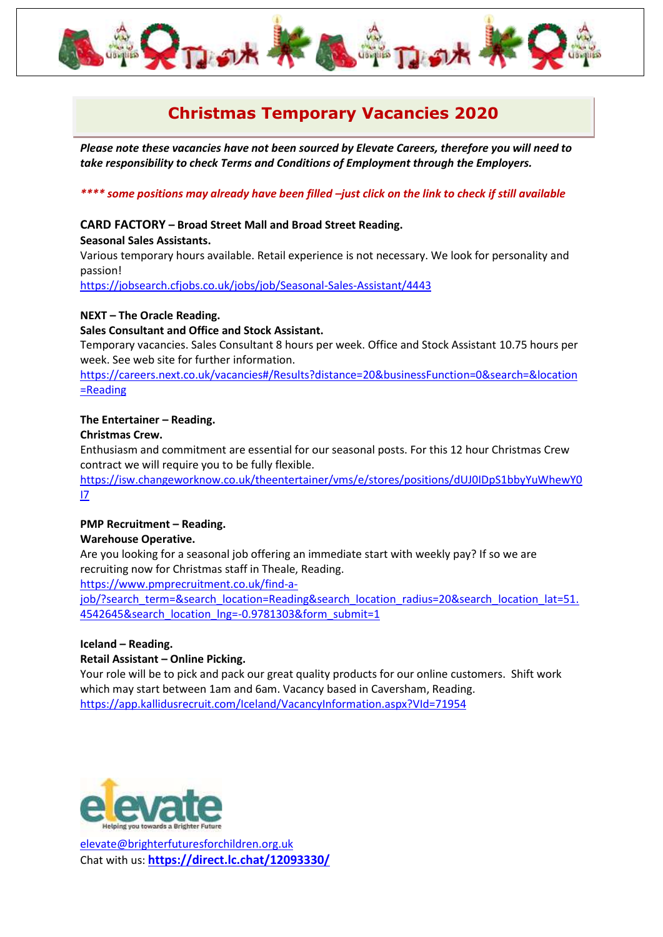# **Christmas Temporary Vacancies 2020**

*Please note these vacancies have not been sourced by Elevate Careers, therefore you will need to take responsibility to check Terms and Conditions of Employment through the Employers.*

## *\*\*\*\* some positions may already have been filled –just click on the link to check if still available*

## **CARD FACTORY – Broad Street Mall and Broad Street Reading.**

#### **Seasonal Sales Assistants.**

Various temporary hours available. Retail experience is not necessary. We look for personality and passion!

<https://jobsearch.cfjobs.co.uk/jobs/job/Seasonal-Sales-Assistant/4443>

#### **NEXT – The Oracle Reading.**

#### **Sales Consultant and Office and Stock Assistant.**

Temporary vacancies. Sales Consultant 8 hours per week. Office and Stock Assistant 10.75 hours per week. See web site for further information.

[https://careers.next.co.uk/vacancies#/Results?distance=20&businessFunction=0&search=&location](https://careers.next.co.uk/vacancies#/Results?distance=20&businessFunction=0&search=&location=Reading) [=Reading](https://careers.next.co.uk/vacancies#/Results?distance=20&businessFunction=0&search=&location=Reading)

## **The Entertainer – Reading.**

#### **Christmas Crew.**

Enthusiasm and commitment are essential for our seasonal posts. For this 12 hour Christmas Crew contract we will require you to be fully flexible.

[https://isw.changeworknow.co.uk/theentertainer/vms/e/stores/positions/dUJ0IDpS1bbyYuWhewY0](https://isw.changeworknow.co.uk/theentertainer/vms/e/stores/positions/dUJ0IDpS1bbyYuWhewY0I7) [I7](https://isw.changeworknow.co.uk/theentertainer/vms/e/stores/positions/dUJ0IDpS1bbyYuWhewY0I7)

#### **PMP Recruitment – Reading.**

#### **Warehouse Operative.**

Are you looking for a seasonal job offering an immediate start with weekly pay? If so we are recruiting now for Christmas staff in Theale, Reading.

[https://www.pmprecruitment.co.uk/find-a-](https://www.pmprecruitment.co.uk/find-a-job/?search_term=&search_location=Reading&search_location_radius=20&search_location_lat=51.4542645&search_location_lng=-0.9781303&form_submit=1)

[job/?search\\_term=&search\\_location=Reading&search\\_location\\_radius=20&search\\_location\\_lat=51.](https://www.pmprecruitment.co.uk/find-a-job/?search_term=&search_location=Reading&search_location_radius=20&search_location_lat=51.4542645&search_location_lng=-0.9781303&form_submit=1) [4542645&search\\_location\\_lng=-0.9781303&form\\_submit=1](https://www.pmprecruitment.co.uk/find-a-job/?search_term=&search_location=Reading&search_location_radius=20&search_location_lat=51.4542645&search_location_lng=-0.9781303&form_submit=1)

#### **Iceland – Reading.**

#### **Retail Assistant – Online Picking.**

Your role will be to pick and pack our great quality products for our online customers. Shift work which may start between 1am and 6am. Vacancy based in Caversham, Reading. <https://app.kallidusrecruit.com/Iceland/VacancyInformation.aspx?VId=71954>

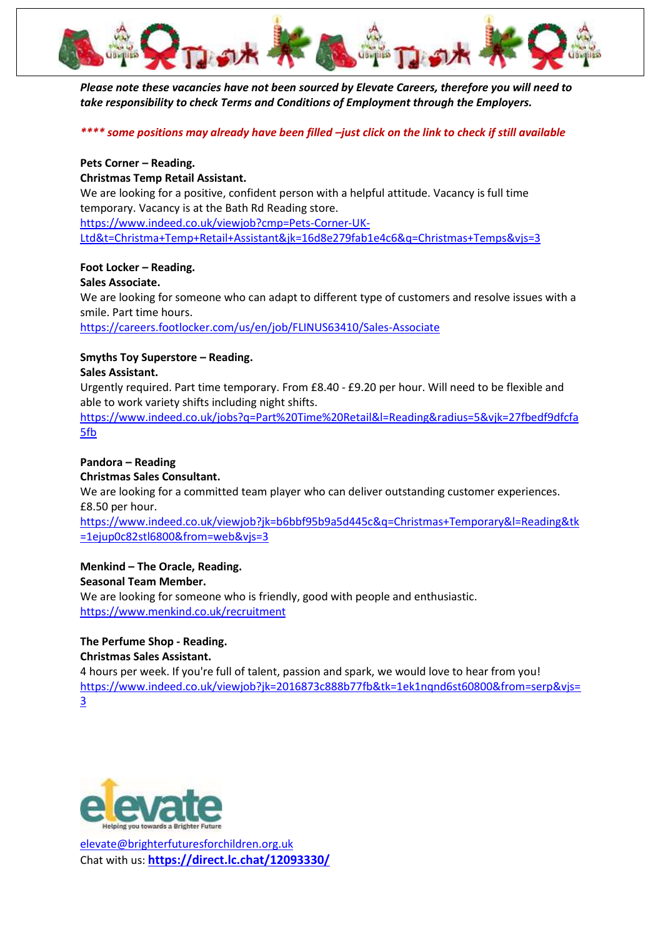

*Please note these vacancies have not been sourced by Elevate Careers, therefore you will need to take responsibility to check Terms and Conditions of Employment through the Employers.*

*\*\*\*\* some positions may already have been filled –just click on the link to check if still available*

## **Pets Corner – Reading.**

## **Christmas Temp Retail Assistant.**

We are looking for a positive, confident person with a helpful attitude. Vacancy is full time temporary. Vacancy is at the Bath Rd Reading store. [https://www.indeed.co.uk/viewjob?cmp=Pets-Corner-UK-](https://www.indeed.co.uk/viewjob?cmp=Pets-Corner-UK-Ltd&t=Christma+Temp+Retail+Assistant&jk=16d8e279fab1e4c6&q=Christmas+Temps&vjs=3)

[Ltd&t=Christma+Temp+Retail+Assistant&jk=16d8e279fab1e4c6&q=Christmas+Temps&vjs=3](https://www.indeed.co.uk/viewjob?cmp=Pets-Corner-UK-Ltd&t=Christma+Temp+Retail+Assistant&jk=16d8e279fab1e4c6&q=Christmas+Temps&vjs=3)

## **Foot Locker – Reading.**

#### **Sales Associate.**

We are looking for someone who can adapt to different type of customers and resolve issues with a smile. Part time hours.

<https://careers.footlocker.com/us/en/job/FLINUS63410/Sales-Associate>

## **Smyths Toy Superstore – Reading.**

## **Sales Assistant.**

Urgently required. Part time temporary. From £8.40 - £9.20 per hour. Will need to be flexible and able to work variety shifts including night shifts.

[https://www.indeed.co.uk/jobs?q=Part%20Time%20Retail&l=Reading&radius=5&vjk=27fbedf9dfcfa](https://www.indeed.co.uk/jobs?q=Part%20Time%20Retail&l=Reading&radius=5&vjk=27fbedf9dfcfa5fb) [5fb](https://www.indeed.co.uk/jobs?q=Part%20Time%20Retail&l=Reading&radius=5&vjk=27fbedf9dfcfa5fb)

## **Pandora – Reading**

## **Christmas Sales Consultant.**

We are looking for a committed team player who can deliver outstanding customer experiences. £8.50 per hour.

[https://www.indeed.co.uk/viewjob?jk=b6bbf95b9a5d445c&q=Christmas+Temporary&l=Reading&tk](https://www.indeed.co.uk/viewjob?jk=b6bbf95b9a5d445c&q=Christmas+Temporary&l=Reading&tk=1ejup0c82stl6800&from=web&vjs=3) [=1ejup0c82stl6800&from=web&vjs=3](https://www.indeed.co.uk/viewjob?jk=b6bbf95b9a5d445c&q=Christmas+Temporary&l=Reading&tk=1ejup0c82stl6800&from=web&vjs=3)

## **Menkind – The Oracle, Reading.**

## **Seasonal Team Member.**

We are looking for someone who is friendly, good with people and enthusiastic. <https://www.menkind.co.uk/recruitment>

#### **The Perfume Shop - Reading. Christmas Sales Assistant.**

4 hours per week. If you're full of talent, passion and spark, we would love to hear from you! [https://www.indeed.co.uk/viewjob?jk=2016873c888b77fb&tk=1ek1nqnd6st60800&from=serp&vjs=](https://www.indeed.co.uk/viewjob?jk=2016873c888b77fb&tk=1ek1nqnd6st60800&from=serp&vjs=3) [3](https://www.indeed.co.uk/viewjob?jk=2016873c888b77fb&tk=1ek1nqnd6st60800&from=serp&vjs=3)

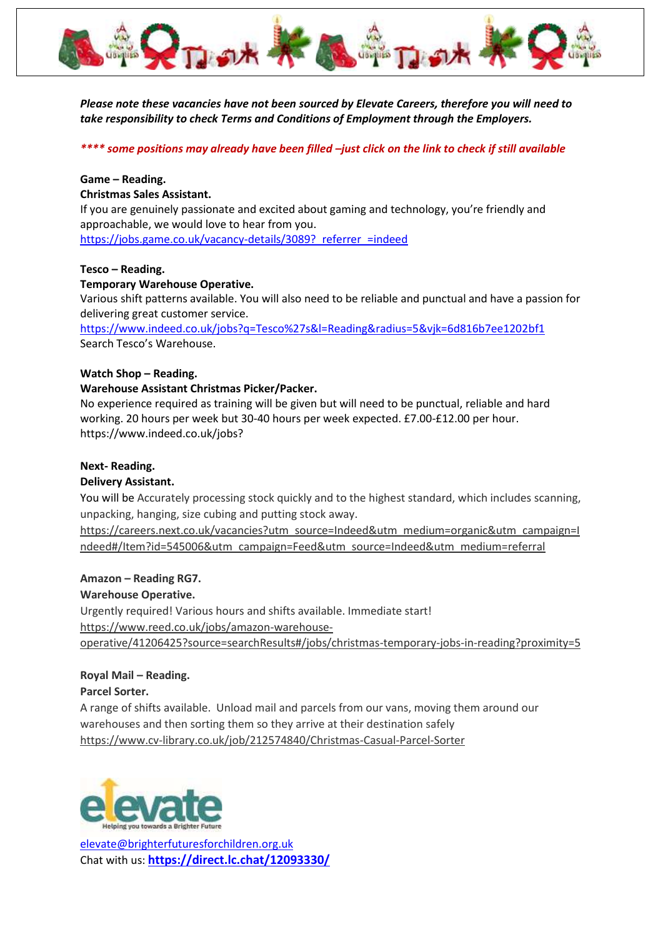

*Please note these vacancies have not been sourced by Elevate Careers, therefore you will need to take responsibility to check Terms and Conditions of Employment through the Employers.*

*\*\*\*\* some positions may already have been filled –just click on the link to check if still available*

## **Game – Reading.**

## **Christmas Sales Assistant.**

If you are genuinely passionate and excited about gaming and technology, you're friendly and approachable, we would love to hear from you. https://jobs.game.co.uk/vacancy-details/3089? referrer =indeed

#### **Tesco – Reading.**

## **Temporary Warehouse Operative.**

Various shift patterns available. You will also need to be reliable and punctual and have a passion for delivering great customer service.

<https://www.indeed.co.uk/jobs?q=Tesco%27s&l=Reading&radius=5&vjk=6d816b7ee1202bf1> Search Tesco's Warehouse.

## **Watch Shop – Reading.**

## **Warehouse Assistant Christmas Picker/Packer.**

No experience required as training will be given but will need to be punctual, reliable and hard working. 20 hours per week but 30-40 hours per week expected. £7.00-£12.00 per hour. [https://www.indeed.co.uk/jobs?](https://www.indeed.co.uk/jobs)

#### **Next- Reading.**

## **Delivery Assistant.**

You will be Accurately processing stock quickly and to the highest standard, which includes scanning, unpacking, hanging, size cubing and putting stock away.

[https://careers.next.co.uk/vacancies?utm\\_source=Indeed&utm\\_medium=organic&utm\\_campaign=I](https://careers.next.co.uk/vacancies?utm_source=Indeed&utm_medium=organic&utm_campaign=Indeed#/Item?id=545006&utm_campaign=Feed&utm_source=Indeed&utm_medium=referral) [ndeed#/Item?id=545006&utm\\_campaign=Feed&utm\\_source=Indeed&utm\\_medium=referral](https://careers.next.co.uk/vacancies?utm_source=Indeed&utm_medium=organic&utm_campaign=Indeed#/Item?id=545006&utm_campaign=Feed&utm_source=Indeed&utm_medium=referral)

#### **Amazon – Reading RG7.**

#### **Warehouse Operative.**

Urgently required! Various hours and shifts available. Immediate start! [https://www.reed.co.uk/jobs/amazon-warehouse](https://www.reed.co.uk/jobs/amazon-warehouse-operative/41206425?source=searchResults#/jobs/christmas-temporary-jobs-in-reading?proximity=5)[operative/41206425?source=searchResults#/jobs/christmas-temporary-jobs-in-reading?proximity=5](https://www.reed.co.uk/jobs/amazon-warehouse-operative/41206425?source=searchResults#/jobs/christmas-temporary-jobs-in-reading?proximity=5)

## **Royal Mail – Reading.**

## **Parcel Sorter.**

A range of shifts available. Unload mail and parcels from our vans, moving them around our warehouses and then sorting them so they arrive at their destination safely <https://www.cv-library.co.uk/job/212574840/Christmas-Casual-Parcel-Sorter>

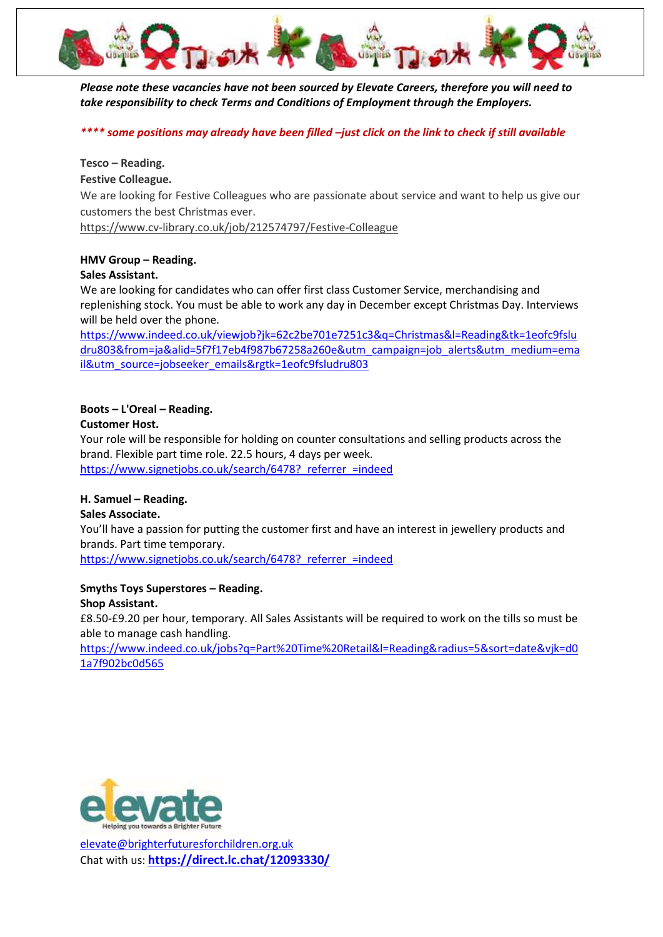

*Please note these vacancies have not been sourced by Elevate Careers, therefore you will need to take responsibility to check Terms and Conditions of Employment through the Employers.*

*\*\*\*\* some positions may already have been filled –just click on the link to check if still available*

**Tesco – Reading.**

**Festive Colleague.**

We are looking for Festive Colleagues who are passionate about service and want to help us give our customers the best Christmas ever.

<https://www.cv-library.co.uk/job/212574797/Festive-Colleague>

## **HMV Group – Reading.**

## **Sales Assistant.**

We are looking for candidates who can offer first class Customer Service, merchandising and replenishing stock. You must be able to work any day in December except Christmas Day. Interviews will be held over the phone.

[https://www.indeed.co.uk/viewjob?jk=62c2be701e7251c3&q=Christmas&l=Reading&tk=1eofc9fslu](https://www.indeed.co.uk/viewjob?jk=62c2be701e7251c3&q=Christmas&l=Reading&tk=1eofc9fsludru803&from=ja&alid=5f7f17eb4f987b67258a260e&utm_campaign=job_alerts&utm_medium=email&utm_source=jobseeker_emails&rgtk=1eofc9fsludru803) [dru803&from=ja&alid=5f7f17eb4f987b67258a260e&utm\\_campaign=job\\_alerts&utm\\_medium=ema](https://www.indeed.co.uk/viewjob?jk=62c2be701e7251c3&q=Christmas&l=Reading&tk=1eofc9fsludru803&from=ja&alid=5f7f17eb4f987b67258a260e&utm_campaign=job_alerts&utm_medium=email&utm_source=jobseeker_emails&rgtk=1eofc9fsludru803) [il&utm\\_source=jobseeker\\_emails&rgtk=1eofc9fsludru803](https://www.indeed.co.uk/viewjob?jk=62c2be701e7251c3&q=Christmas&l=Reading&tk=1eofc9fsludru803&from=ja&alid=5f7f17eb4f987b67258a260e&utm_campaign=job_alerts&utm_medium=email&utm_source=jobseeker_emails&rgtk=1eofc9fsludru803)

## **Boots – L'Oreal – Reading.**

#### **Customer Host.**

Your role will be responsible for holding on counter consultations and selling products across the brand. Flexible part time role. 22.5 hours, 4 days per week. https://www.signetjobs.co.uk/search/6478? referrer =indeed

## **H. Samuel – Reading.**

#### **Sales Associate.**

You'll have a passion for putting the customer first and have an interest in jewellery products and brands. Part time temporary.

https://www.signetjobs.co.uk/search/6478? referrer =indeed

#### **Smyths Toys Superstores – Reading. Shop Assistant.**

£8.50-£9.20 per hour, temporary. All Sales Assistants will be required to work on the tills so must be able to manage cash handling.

[https://www.indeed.co.uk/jobs?q=Part%20Time%20Retail&l=Reading&radius=5&sort=date&vjk=d0](https://www.indeed.co.uk/jobs?q=Part%20Time%20Retail&l=Reading&radius=5&sort=date&vjk=d01a7f902bc0d565) [1a7f902bc0d565](https://www.indeed.co.uk/jobs?q=Part%20Time%20Retail&l=Reading&radius=5&sort=date&vjk=d01a7f902bc0d565)